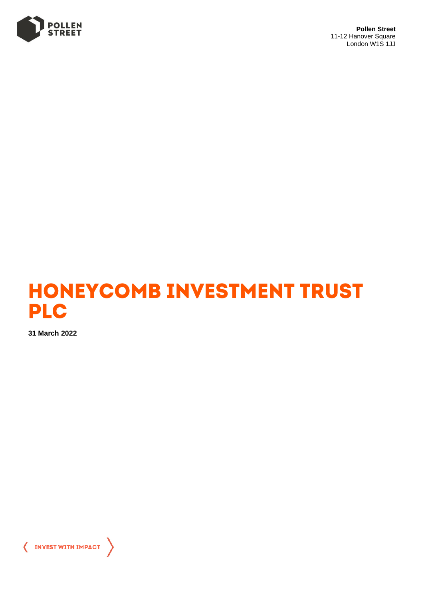

**Pollen Street** 11-12 Hanover Square London W1S 1JJ



**31 March 2022**

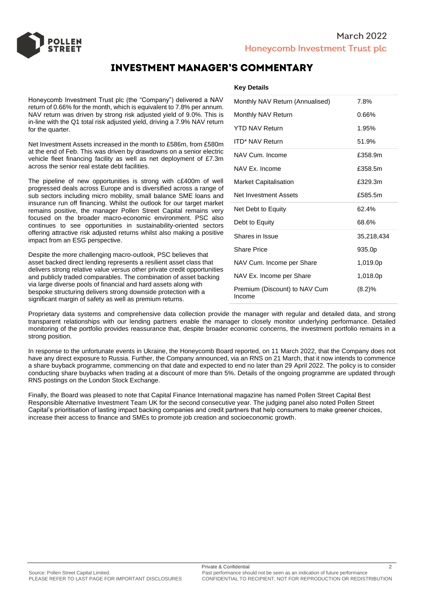

# **INVESTMENT MANAGER'S COMMENTARY**

Honeycomb Investment Trust plc (the "Company") delivered a NAV return of 0.66% for the month, which is equivalent to 7.8% per annum. NAV return was driven by strong risk adjusted yield of 9.0%. This is in-line with the Q1 total risk adjusted yield, driving a 7.9% NAV return for the quarter.

Net Investment Assets increased in the month to £586m, from £580m at the end of Feb. This was driven by drawdowns on a senior electric vehicle fleet financing facility as well as net deployment of £7.3m across the senior real estate debt facilities.

The pipeline of new opportunities is strong with c£400m of well progressed deals across Europe and is diversified across a range of sub sectors including micro mobility, small balance SME loans and insurance run off financing. Whilst the outlook for our target market remains positive, the manager Pollen Street Capital remains very focused on the broader macro-economic environment. PSC also continues to see opportunities in sustainability-oriented sectors offering attractive risk adjusted returns whilst also making a positive impact from an ESG perspective.

Despite the more challenging macro-outlook, PSC believes that asset backed direct lending represents a resilient asset class that delivers strong relative value versus other private credit opportunities and publicly traded comparables. The combination of asset backing via large diverse pools of financial and hard assets along with bespoke structuring delivers strong downside protection with a significant margin of safety as well as premium returns.

# **Key Details**

| Monthly NAV Return (Annualised)         | 7.8%       |
|-----------------------------------------|------------|
| Monthly NAV Return                      | 0.66%      |
| <b>YTD NAV Return</b>                   | 1.95%      |
| <b>ITD* NAV Return</b>                  | 51.9%      |
| NAV Cum. Income                         | £358.9m    |
| NAV Ex. Income                          | £358.5m    |
| <b>Market Capitalisation</b>            | £329.3m    |
| Net Investment Assets                   | £585.5m    |
| Net Debt to Equity                      | 62.4%      |
| Debt to Equity                          | 68.6%      |
| Shares in Issue                         | 35,218,434 |
| <b>Share Price</b>                      | 935.0p     |
| NAV Cum. Income per Share               | 1,019.0p   |
| NAV Ex. Income per Share                | 1,018.0p   |
| Premium (Discount) to NAV Cum<br>Income | (8.2)%     |

Proprietary data systems and comprehensive data collection provide the manager with regular and detailed data, and strong transparent relationships with our lending partners enable the manager to closely monitor underlying performance. Detailed monitoring of the portfolio provides reassurance that, despite broader economic concerns, the investment portfolio remains in a strong position.

In response to the unfortunate events in Ukraine, the Honeycomb Board reported, on 11 March 2022, that the Company does not have any direct exposure to Russia. Further, the Company announced, via an RNS on 21 March, that it now intends to commence a share buyback programme, commencing on that date and expected to end no later than 29 April 2022. The policy is to consider conducting share buybacks when trading at a discount of more than 5%. Details of the ongoing programme are updated through RNS postings on the London Stock Exchange.

Finally, the Board was pleased to note that Capital Finance International magazine has named Pollen Street Capital Best Responsible Alternative Investment Team UK for the second consecutive year. The judging panel also noted Pollen Street Capital's prioritisation of lasting impact backing companies and credit partners that help consumers to make greener choices, increase their access to finance and SMEs to promote job creation and socioeconomic growth.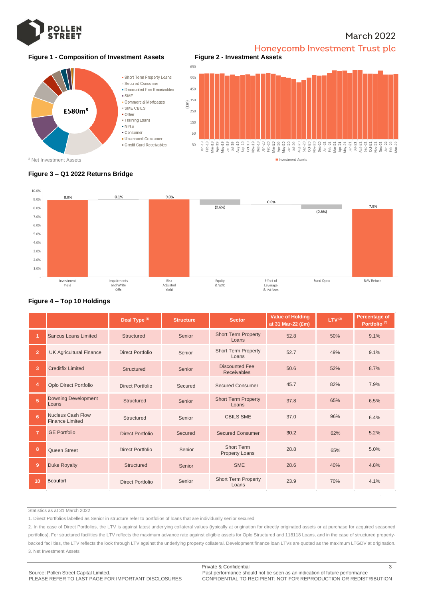

# **March 2022**

# **Figure 1 - Composition of Investment Assets Figure 2 - Investment Assets**



Honeycomb Investment Trust plc



# **Figure 3 – Q1 2022 Returns Bridge**



## **Figure 4 – Top 10 Holdings**

|                |                                             | Deal Type <sup>(1)</sup> | <b>Structure</b> | <b>Sector</b>                               | <b>Value of Holding</b><br>at 31 Mar-22 (£m) | LTV <sup>(2)</sup> | Percentage of<br>Portfolio <sup>(3)</sup> |  |
|----------------|---------------------------------------------|--------------------------|------------------|---------------------------------------------|----------------------------------------------|--------------------|-------------------------------------------|--|
|                | <b>Sancus Loans Limited</b>                 | Structured               | Senior           | <b>Short Term Property</b><br>Loans         | 52.8                                         | 50%                | 9.1%                                      |  |
| $\overline{2}$ | <b>UK Agricultural Finance</b>              | Direct Portfolio         | Senior           | <b>Short Term Property</b><br>Loans         | 52.7                                         | 49%                | 9.1%                                      |  |
| 3              | <b>Creditfix Limited</b>                    | <b>Structured</b>        | Senior           | <b>Discounted Fee</b><br><b>Receivables</b> | 50.6                                         | 52%                | 8.7%                                      |  |
| 4              | Oplo Direct Portfolio                       | Direct Portfolio         | Secured          | <b>Secured Consumer</b>                     | 45.7                                         | 82%                | 7.9%                                      |  |
| 5 <sup>1</sup> | <b>Downing Development</b><br>Loans         | Structured               | Senior           | <b>Short Term Property</b><br>Loans         | 37.8                                         | 65%                | 6.5%                                      |  |
| 6.             | Nucleus Cash Flow<br><b>Finance Limited</b> | Structured               | Senior           | <b>CBILS SME</b>                            | 37.0                                         | 96%                | 6.4%                                      |  |
| $\overline{7}$ | <b>GE Portfolio</b>                         | <b>Direct Portfolio</b>  | Secured          | <b>Secured Consumer</b>                     | 30.2                                         | 62%                | 5.2%                                      |  |
| 8              | Queen Street                                | Direct Portfolio         | Senior           | <b>Short Term</b><br><b>Property Loans</b>  | 28.8                                         | 65%                | 5.0%                                      |  |
| 9              | <b>Duke Royalty</b>                         | <b>Structured</b>        | Senior           | <b>SME</b>                                  | 28.6                                         | 40%                | 4.8%                                      |  |
| 10             | Beaufort                                    | <b>Direct Portfolio</b>  | Senior           | <b>Short Term Property</b><br>Loans         | 23.9                                         | 70%                | 4.1%                                      |  |

Statistics as at 31 March 2022

1. Direct Portfolios labelled as Senior in structure refer to portfolios of loans that are individually senior secured

2. In the case of Direct Portfolios, the LTV is against latest underlying collateral values (typically at origination for directly originated assets or at purchase for acquired seasoned portfolios). For structured facilities the LTV reflects the maximum advance rate against eligible assets for Oplo Structured and 118118 Loans, and in the case of structured propertybacked facilities, the LTV reflects the look through LTV against the underlying property collateral. Development finance loan LTVs are quoted as the maximum LTGDV at origination. 3. Net Investment Assets

PLEASE REFER TO LAST PAGE FOR IMPORTANT DISCLOSURES CONFIDENTIAL TO RECIPIENT; NOT FOR REPRODUCTION OR REDISTRIBUTION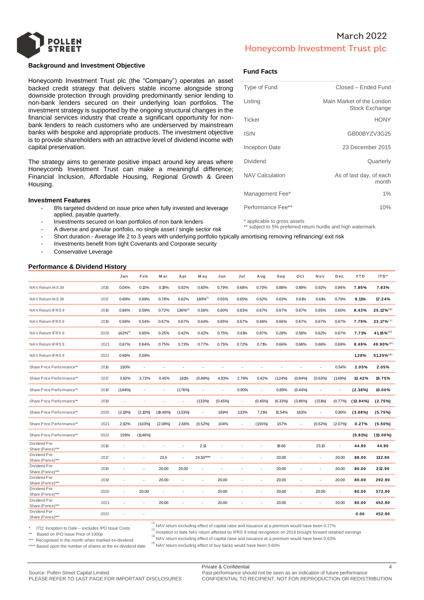

## **Background and Investment Objective**

Honeycomb Investment Trust plc (the "Company") operates an asset backed credit strategy that delivers stable income alongside strong downside protection through providing predominantly senior lending to non-bank lenders secured on their underlying loan portfolios. The investment strategy is supported by the ongoing structural changes in the financial services industry that create a significant opportunity for nonbank lenders to reach customers who are underserved by mainstream banks with bespoke and appropriate products. The investment objective is to provide shareholders with an attractive level of dividend income with capital preservation.

The strategy aims to generate positive impact around key areas where Honeycomb Investment Trust can make a meaningful difference; Financial Inclusion, Affordable Housing, Regional Growth & Green Housing.

#### **Investment Features**

- 8% targeted dividend on issue price when fully invested and leverage applied, payable quarterly.
- Investments secured on loan portfolios of non bank lenders
- A diverse and granular portfolio, no single asset / single sector risk
- Short duration Average life 2 to 3 years with underlying portfolio typically amortising removing refinancing/ exit risk
- Investments benefit from tight Covenants and Corporate security
- Conservative Leverage

# **Performance & Dividend History**

# **Fund Facts**

| Type of Fund           | Closed - Ended Fund                                |
|------------------------|----------------------------------------------------|
| Listing                | Main Market of the London<br><b>Stock Exchange</b> |
| Ticker                 | <b>HONY</b>                                        |
| <b>ISIN</b>            | GB00BYZV3G25                                       |
| Inception Date         | 23 December 2015                                   |
| Dividend               | Quarterly                                          |
| <b>NAV Calculation</b> | As of last day, of each<br>month                   |
| Management Fee*        | $1\%$                                              |
| Performance Fee**      | 10%                                                |

\* applicable to gross assets

\*\* subject to 5% preferred return hurdle and high watermark

|                                                                                                                                                  |      | Jan            | Feb         | M ar     | Apr            | M ay       | Jun     | Jul    | Aug    | Sep        | Oct        | Nov        | Dec     | <b>YTD</b>  | ITD*                     |
|--------------------------------------------------------------------------------------------------------------------------------------------------|------|----------------|-------------|----------|----------------|------------|---------|--------|--------|------------|------------|------------|---------|-------------|--------------------------|
| NAV Return IAS 39                                                                                                                                | 2016 | 0.04%          | 0.13%       | 0.19%    | 0.92%          | 0.60%      | 0.79%   | 0.68%  | 0.70%  | 0.88%      | 0.89%      | 0.92%      | 0.94%   | 7.85%       | 7.83%                    |
| NAV Return IAS 39                                                                                                                                | 2017 | 0.69%          | 0.69%       | 0.78%    | 0.62%          | 1.80%(1)   | 0.55%   | 0.65%  | 0.62%  | 0.63%      | 0.61%      | 0.61%      | 0.79%   | 9.11%       | 17.24%                   |
| NAV Return IFRS 9                                                                                                                                | 2018 | 0.66%          | 0.59%       | 0.72%    | $1.36\%^{(3)}$ | 0.56%      | 0.60%   | 0.63%  | 0.67%  | 0.67%      | 0.67%      | 0.65%      | 0.60%   | 8.43%       | $25.12\%^{(2)}$          |
| NAV Return IFRS 9                                                                                                                                | 2019 | 0.58%          | 0.54%       | 0.67%    | 0.67%          | 0.64%      | 0.65%   | 0.67%  | 0.66%  | 0.66%      | 0.67%      | 0.67%      | 0.67%   | 7.79%       | $33.17\%^{(2)}$          |
| NAV Return IFRS 9                                                                                                                                | 2020 | $1.62\%^{(4)}$ | 0.65%       | 0.25%    | 0.42%          | 0.42%      | 0.75%   | 0.61%  | 0.87%  | 0.28%      | 0.58%      | 0.62%      | 0.67%   | 7.71%       | $41.15\%$ <sup>(2)</sup> |
| NAV Return IFRS 9                                                                                                                                | 2021 | 0.67%          | 0.64%       | 0.75%    | 0.73%          | 0.77%      | 0.75%   | 0.72%  | 0.71%  | 0.66%      | 0.68%      | 0.66%      | 0.69%   | 8.49%       | 49.90%(2)                |
| NAV Return IFRS 9                                                                                                                                | 2022 | 0.69%          | 0.59%       |          |                |            |         |        |        |            |            |            |         | 1.28%       | $51.25\%^{(2)}$          |
| Share Price Performance**                                                                                                                        | 2016 | 1.50%          | ÷.          |          |                |            |         |        |        |            |            |            | 0.54%   | 2.05%       | 2.05%                    |
| Share Price Performance**                                                                                                                        | 2017 | 3.92%          | 3.72%       | 0.45%    | 1.81%          | (0.89%     | 4.93%   | 2.78%  | 0.42%  | $(1.24\%)$ | (0.84%     | (0.63%     | (1.49%  | 13.42%      | 15.75%                   |
| Share Price Performance**                                                                                                                        | 2018 | $(1.94\%)$     | ÷,          | ÷.       | (1.76%)        | ÷.         | ×       | 0.90%  | $\sim$ | 0.89%      | $(0.44\%)$ |            | ٠       | $(2.38\%)$  | 13.00%                   |
| Share Price Performance**                                                                                                                        | 2019 | ×              | ÷           |          |                | $(1.33\%)$ | (0.45%) |        | (0.45% | $(6.33\%)$ | $(3.86\%)$ | $(1.51\%)$ | (0.77%  | $(13.94\%)$ | (2.75%)                  |
| Share Price Performance**                                                                                                                        | 2020 | (2.13%)        | (2.13%)     | (18.48%) | $(1.33\%)$     | ×          | 1.69%   | 1.33%  | 7.21%  | 12.54%     | 1.63%      | $\sim$     | 0.80%   | $(3.08\%)$  | (5.75%)                  |
| Share Price Performance**                                                                                                                        | 2021 | 2.92%          | $(1.03\%)$  | (2.08%)  | 2.66%          | (0.52%)    | 1.04%   | $\sim$ | (155%) | 1.57%      |            | $(0.52\%)$ | (2.07%) | 0.27%       | $(5.50\%)$               |
| Share Price Performance**                                                                                                                        | 2022 | 1.59%          | $(11.46\%)$ |          |                |            |         |        |        |            |            |            |         | (9.81%)     | $(15.00\%)$              |
| Dividend Per<br>Share (Pence)***                                                                                                                 | 2016 |                |             |          |                | 2.11       |         |        |        | 19.66      | í.         | 23.13      | ٠       | 44.90       | 44.90                    |
| Dividend Per<br>Share (Pence)***                                                                                                                 | 2017 |                |             | 23.5     | $\sim$         | 24.50****  | ٠       |        | ÷,     | 20.00      | ł,         | ä,         | 20.00   | 88.00       | 132.90                   |
| Dividend Per<br>Share (Pence)***                                                                                                                 | 2018 |                |             | 20.00    | 20.00          | ٠          | ٠       |        | ٠      | 20.00      | ÷,         | ä,         | 20.00   | 80.00       | 212.90                   |
| Dividend Per<br>Share (Pence)***                                                                                                                 | 2019 |                |             | 20.00    | ÷.             | ×.         | 20.00   | ä,     | ÷.     | 20.00      | í,         | ä,         | 20.00   | 80.00       | 292.90                   |
| Dividend Per<br>Share (Pence)***                                                                                                                 | 2020 |                | 20.00       | $\sim$   |                | ٠          | 20.00   | ٠      | ٠      | 20.00      | ٠          | 20.00      | ٠       | 80.00       | 372.90                   |
| Dividend Per<br>Share (Pence)***                                                                                                                 | 2021 |                |             | 20.00    |                |            | 20.00   | ٠      | ٠      | 20.00      | ä          | ä,         | 20.00   | 80.00       | 452.90                   |
| Dividend Per<br>Share (Pence)***                                                                                                                 | 2022 |                | $\sim$      |          |                |            |         |        |        |            |            |            |         | 0.00        | 452.90                   |
| <sup>(1)</sup> NAV return excluding effect of capital raise and issuance at a premium would have been 0.77%<br>$\pm$ . The contract of the state |      |                |             |          |                |            |         |        |        |            |            |            |         |             |                          |

ITD: Inception to Date – excludes IPO Issue Costs

\*\* Based on IPO Issue Price of 1000p

\*\*\* Recognised in the month when marked ex-dividend

(2) Inception to date NAV return affected by IFRS 9 initial recognition on 2018 brought forward retained earnings

\*\*\*\* Based upon the number of shares at the ex-dividend date

(3) NAV return excluding effect of capital raise and issuance at a premium would have been 0.63%

 $^{(4)}$  NAV return excluding effect of buy backs would have been 0.60%

CONFIDENTIAL TO RECIPIENT, NOT FOR REPRODUCTION OR REDISTRIBUTION

Source: Pollen Street Capital Limited.<br>PLEASE REFER TO LAST PAGE FOR IMPORTANT DISCLOSURES CONFIDENTIAL TO RECIPIENT. NOT FOR REPRODUCTION OR REDIST

Private & Confidential 4